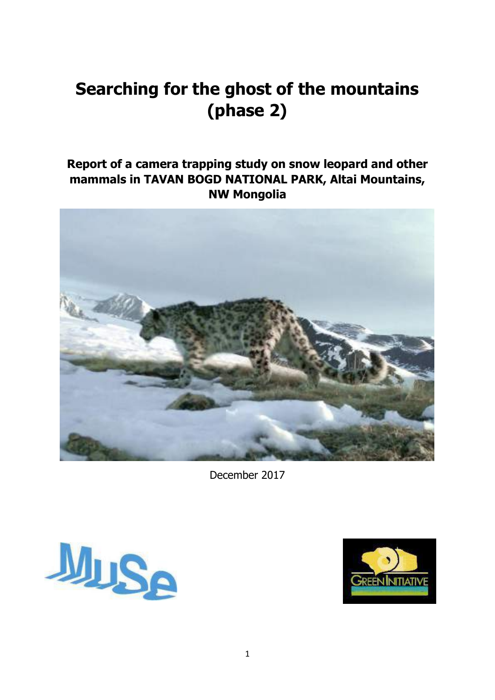# **Searching for the ghost of the mountains (phase 2)**

# **Report of a camera trapping study on snow leopard and other mammals in TAVAN BOGD NATIONAL PARK, Altai Mountains, NW Mongolia**



December 2017



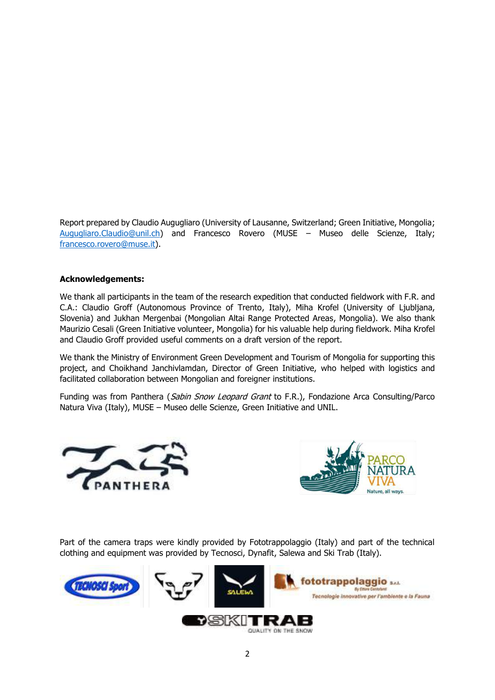Report prepared by Claudio Augugliaro (University of Lausanne, Switzerland; Green Initiative, Mongolia; [Augugliaro.Claudio@unil.ch\)](mailto:Augugliaro.Claudio@unil.ch) and Francesco Rovero (MUSE – Museo delle Scienze, Italy; [francesco.rovero@muse.it\)](mailto:francesco.rovero@muse.it).

#### **Acknowledgements:**

We thank all participants in the team of the research expedition that conducted fieldwork with F.R. and C.A.: Claudio Groff (Autonomous Province of Trento, Italy), Miha Krofel (University of Ljubljana, Slovenia) and Jukhan Mergenbai (Mongolian Altai Range Protected Areas, Mongolia). We also thank Maurizio Cesali (Green Initiative volunteer, Mongolia) for his valuable help during fieldwork. Miha Krofel and Claudio Groff provided useful comments on a draft version of the report.

We thank the Ministry of Environment Green Development and Tourism of Mongolia for supporting this project, and Choikhand Janchivlamdan, Director of Green Initiative, who helped with logistics and facilitated collaboration between Mongolian and foreigner institutions.

Funding was from Panthera (*Sabin Snow Leopard Grant* to F.R.), Fondazione Arca Consulting/Parco Natura Viva (Italy), MUSE – Museo delle Scienze, Green Initiative and UNIL.





Part of the camera traps were kindly provided by Fototrappolaggio (Italy) and part of the technical clothing and equipment was provided by Tecnosci, Dynafit, Salewa and Ski Trab (Italy).

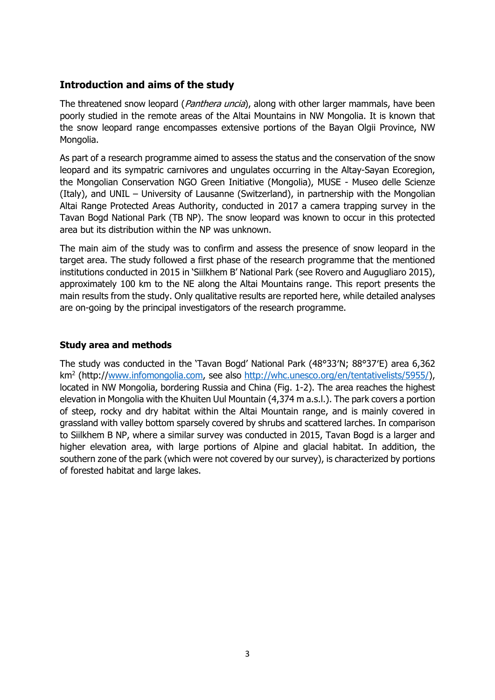# **Introduction and aims of the study**

The threatened snow leopard (*Panthera uncia*), along with other larger mammals, have been poorly studied in the remote areas of the Altai Mountains in NW Mongolia. It is known that the snow leopard range encompasses extensive portions of the Bayan Olgii Province, NW Mongolia.

As part of a research programme aimed to assess the status and the conservation of the snow leopard and its sympatric carnivores and ungulates occurring in the Altay-Sayan Ecoregion, the Mongolian Conservation NGO Green Initiative (Mongolia), MUSE - Museo delle Scienze (Italy), and UNIL – University of Lausanne (Switzerland), in partnership with the Mongolian Altai Range Protected Areas Authority, conducted in 2017 a camera trapping survey in the Tavan Bogd National Park (TB NP). The snow leopard was known to occur in this protected area but its distribution within the NP was unknown.

The main aim of the study was to confirm and assess the presence of snow leopard in the target area. The study followed a first phase of the research programme that the mentioned institutions conducted in 2015 in 'Siilkhem B' National Park (see Rovero and Augugliaro 2015), approximately 100 km to the NE along the Altai Mountains range. This report presents the main results from the study. Only qualitative results are reported here, while detailed analyses are on-going by the principal investigators of the research programme.

#### **Study area and methods**

The study was conducted in the 'Tavan Bogd' National Park (48°33′N; 88°37′E) area 6,362 km<sup>2</sup> (http:/[/www.infomongolia.com,](http://www.infomongolia.com/) see also [http://whc.unesco.org/en/tentativelists/5955/\)](http://whc.unesco.org/en/tentativelists/5955/), located in NW Mongolia, bordering Russia and China (Fig. 1-2). The area reaches the highest elevation in Mongolia with the Khuiten Uul Mountain (4,374 m a.s.l.). The park covers a portion of steep, rocky and dry habitat within the Altai Mountain range, and is mainly covered in grassland with valley bottom sparsely covered by shrubs and scattered larches. In comparison to Siilkhem B NP, where a similar survey was conducted in 2015, Tavan Bogd is a larger and higher elevation area, with large portions of Alpine and glacial habitat. In addition, the southern zone of the park (which were not covered by our survey), is characterized by portions of forested habitat and large lakes.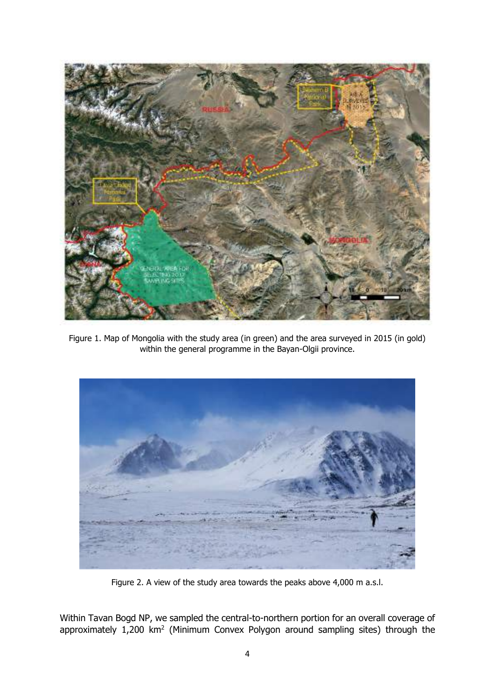

Figure 1. Map of Mongolia with the study area (in green) and the area surveyed in 2015 (in gold) within the general programme in the Bayan-Olgii province.



Figure 2. A view of the study area towards the peaks above 4,000 m a.s.l.

Within Tavan Bogd NP, we sampled the central-to-northern portion for an overall coverage of approximately  $1,200 \text{ km}^2$  (Minimum Convex Polygon around sampling sites) through the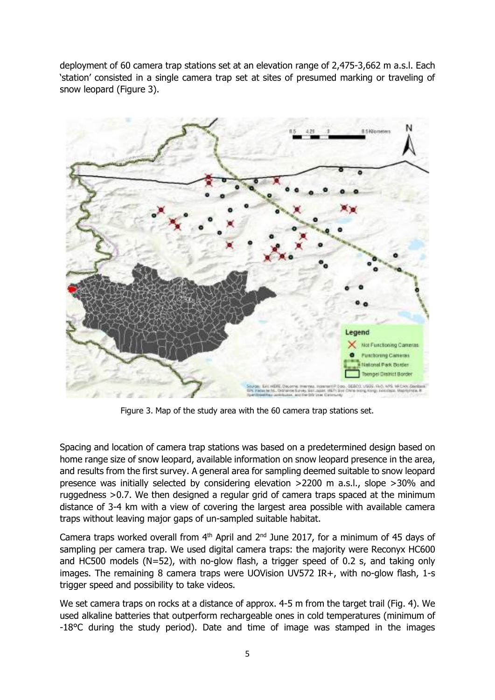deployment of 60 camera trap stations set at an elevation range of 2,475-3,662 m a.s.l. Each 'station' consisted in a single camera trap set at sites of presumed marking or traveling of snow leopard (Figure 3).



Figure 3. Map of the study area with the 60 camera trap stations set.

Spacing and location of camera trap stations was based on a predetermined design based on home range size of snow leopard, available information on snow leopard presence in the area, and results from the first survey. A general area for sampling deemed suitable to snow leopard presence was initially selected by considering elevation >2200 m a.s.l., slope >30% and ruggedness >0.7. We then designed a regular grid of camera traps spaced at the minimum distance of 3-4 km with a view of covering the largest area possible with available camera traps without leaving major gaps of un-sampled suitable habitat.

Camera traps worked overall from  $4<sup>th</sup>$  April and  $2<sup>nd</sup>$  June 2017, for a minimum of 45 days of sampling per camera trap. We used digital camera traps: the majority were Reconyx HC600 and HC500 models (N=52), with no-glow flash, a trigger speed of 0.2 s, and taking only images. The remaining 8 camera traps were UOVision UV572 IR+, with no-glow flash, 1-s trigger speed and possibility to take videos.

We set camera traps on rocks at a distance of approx. 4-5 m from the target trail (Fig. 4). We used alkaline batteries that outperform rechargeable ones in cold temperatures (minimum of -18°C during the study period). Date and time of image was stamped in the images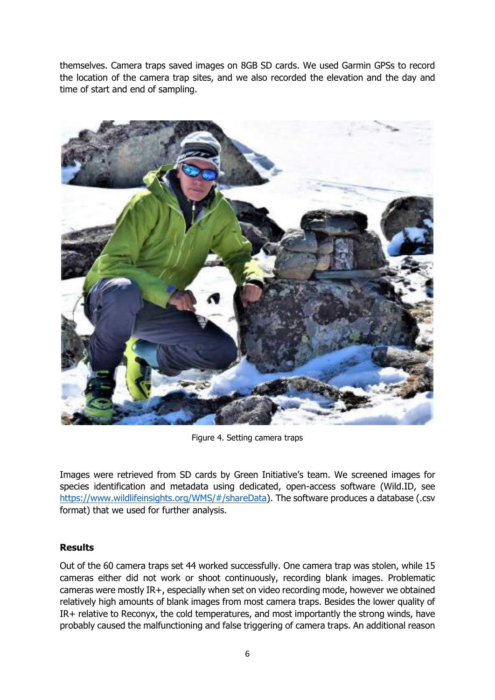themselves. Camera traps saved images on 8GB SD cards. We used Garmin GPSs to record the location of the camera trap sites, and we also recorded the elevation and the day and time of start and end of sampling.



Figure 4. Setting camera traps

Images were retrieved from SD cards by Green Initiative's team. We screened images for species identification and metadata using dedicated, open-access software (Wild.ID, see [https://www.wildlifeinsights.org/WMS/#/shareData\)](https://www.wildlifeinsights.org/WMS/#/shareData). The software produces a database (.csv format) that we used for further analysis.

## **Results**

Out of the 60 camera traps set 44 worked successfully. One camera trap was stolen, while 15 cameras either did not work or shoot continuously, recording blank images. Problematic cameras were mostly IR+, especially when set on video recording mode, however we obtained relatively high amounts of blank images from most camera traps. Besides the lower quality of IR+ relative to Reconyx, the cold temperatures, and most importantly the strong winds, have probably caused the malfunctioning and false triggering of camera traps. An additional reason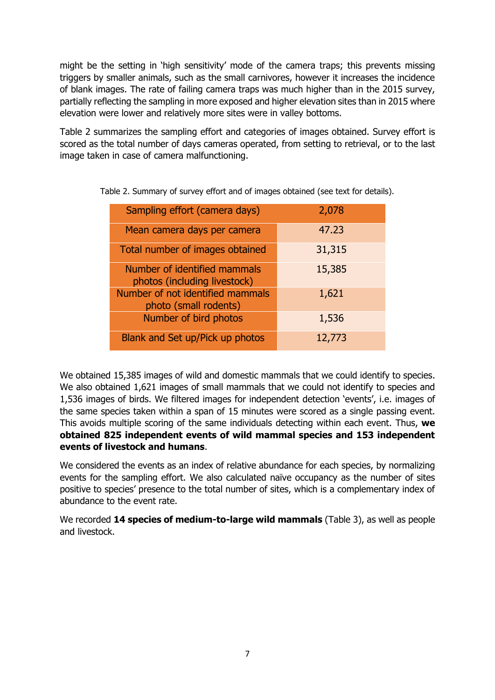might be the setting in 'high sensitivity' mode of the camera traps; this prevents missing triggers by smaller animals, such as the small carnivores, however it increases the incidence of blank images. The rate of failing camera traps was much higher than in the 2015 survey, partially reflecting the sampling in more exposed and higher elevation sites than in 2015 where elevation were lower and relatively more sites were in valley bottoms.

Table 2 summarizes the sampling effort and categories of images obtained. Survey effort is scored as the total number of days cameras operated, from setting to retrieval, or to the last image taken in case of camera malfunctioning.

| Sampling effort (camera days)                                | 2,078  |
|--------------------------------------------------------------|--------|
| Mean camera days per camera                                  | 47.23  |
| Total number of images obtained                              | 31,315 |
| Number of identified mammals<br>photos (including livestock) | 15,385 |
| Number of not identified mammals<br>photo (small rodents)    | 1,621  |
| Number of bird photos                                        | 1,536  |
| Blank and Set up/Pick up photos                              | 12,773 |

Table 2. Summary of survey effort and of images obtained (see text for details).

We obtained 15,385 images of wild and domestic mammals that we could identify to species. We also obtained 1,621 images of small mammals that we could not identify to species and 1,536 images of birds. We filtered images for independent detection 'events', i.e. images of the same species taken within a span of 15 minutes were scored as a single passing event. This avoids multiple scoring of the same individuals detecting within each event. Thus, **we obtained 825 independent events of wild mammal species and 153 independent events of livestock and humans**.

We considered the events as an index of relative abundance for each species, by normalizing events for the sampling effort. We also calculated naïve occupancy as the number of sites positive to species' presence to the total number of sites, which is a complementary index of abundance to the event rate.

We recorded **14 species of medium-to-large wild mammals** (Table 3), as well as people and livestock.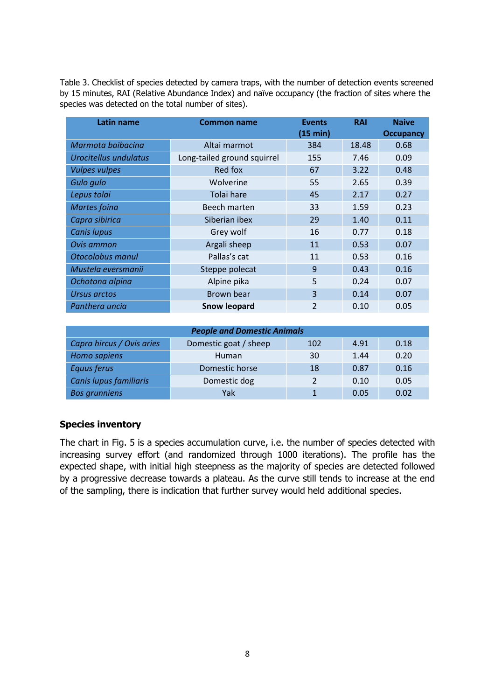Table 3. Checklist of species detected by camera traps, with the number of detection events screened by 15 minutes, RAI (Relative Abundance Index) and naïve occupancy (the fraction of sites where the species was detected on the total number of sites).

| Latin name            | <b>Common name</b>          | <b>Events</b>           | <b>RAI</b> | <b>Naive</b>     |
|-----------------------|-----------------------------|-------------------------|------------|------------------|
|                       |                             | (15 min)                |            | <b>Occupancy</b> |
| Marmota baibacina     | Altai marmot                | 384                     | 18.48      | 0.68             |
| Urocitellus undulatus | Long-tailed ground squirrel | 155                     | 7.46       | 0.09             |
| <b>Vulpes vulpes</b>  | Red fox                     | 67                      | 3.22       | 0.48             |
| Gulo gulo             | Wolverine                   | 55                      | 2.65       | 0.39             |
| Lepus tolai           | Tolai hare                  | 45                      | 2.17       | 0.27             |
| <b>Martes foina</b>   | Beech marten                | 33                      | 1.59       | 0.23             |
| Capra sibirica        | Siberian ibex               | 29                      | 1.40       | 0.11             |
| <b>Canis lupus</b>    | Grey wolf                   | 16                      | 0.77       | 0.18             |
| Ovis ammon            | Argali sheep                | 11                      | 0.53       | 0.07             |
| Otocolobus manul      | Pallas's cat                | 11                      | 0.53       | 0.16             |
| Mustela eversmanii    | Steppe polecat              | 9                       | 0.43       | 0.16             |
| Ochotona alpina       | Alpine pika                 | 5                       | 0.24       | 0.07             |
| <b>Ursus arctos</b>   | Brown bear                  | 3                       | 0.14       | 0.07             |
| Panthera uncia        | <b>Snow leopard</b>         | $\overline{\mathbf{c}}$ | 0.10       | 0.05             |

| <b>People and Domestic Animals</b> |                       |     |      |      |  |  |  |
|------------------------------------|-----------------------|-----|------|------|--|--|--|
| Capra hircus / Ovis aries          | Domestic goat / sheep | 102 | 4.91 | 0.18 |  |  |  |
| Homo sapiens                       | Human                 | 30  | 1.44 | 0.20 |  |  |  |
| <b>Equus ferus</b>                 | Domestic horse        | 18  | 0.87 | 0.16 |  |  |  |
| Canis lupus familiaris             | Domestic dog          |     | 0.10 | 0.05 |  |  |  |
| <b>Bos grunniens</b>               | Yak                   |     | 0.05 | 0.02 |  |  |  |

## **Species inventory**

The chart in Fig. 5 is a species accumulation curve, i.e. the number of species detected with increasing survey effort (and randomized through 1000 iterations). The profile has the expected shape, with initial high steepness as the majority of species are detected followed by a progressive decrease towards a plateau. As the curve still tends to increase at the end of the sampling, there is indication that further survey would held additional species.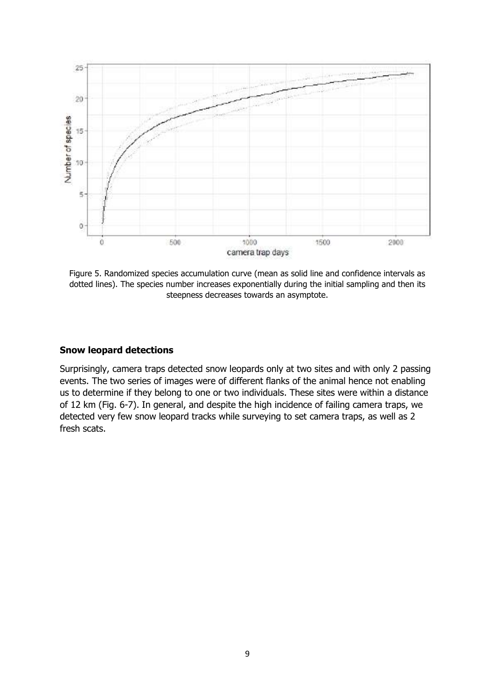

Figure 5. Randomized species accumulation curve (mean as solid line and confidence intervals as dotted lines). The species number increases exponentially during the initial sampling and then its steepness decreases towards an asymptote.

#### **Snow leopard detections**

Surprisingly, camera traps detected snow leopards only at two sites and with only 2 passing events. The two series of images were of different flanks of the animal hence not enabling us to determine if they belong to one or two individuals. These sites were within a distance of 12 km (Fig. 6-7). In general, and despite the high incidence of failing camera traps, we detected very few snow leopard tracks while surveying to set camera traps, as well as 2 fresh scats.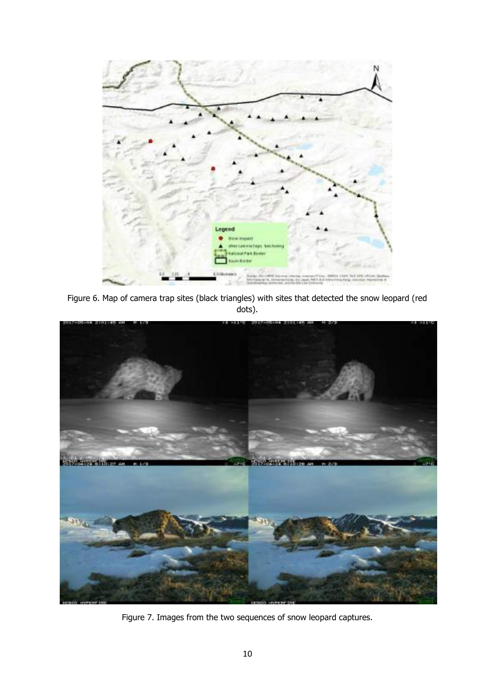

Figure 6. Map of camera trap sites (black triangles) with sites that detected the snow leopard (red dots).



Figure 7. Images from the two sequences of snow leopard captures.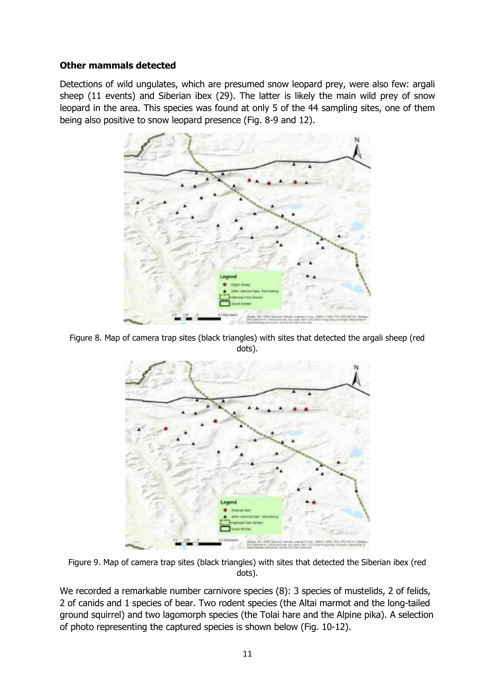## **Other mammals detected**

Detections of wild ungulates, which are presumed snow leopard prey, were also few: argali sheep (11 events) and Siberian ibex (29). The latter is likely the main wild prey of snow leopard in the area. This species was found at only 5 of the 44 sampling sites, one of them being also positive to snow leopard presence (Fig. 8-9 and 12).



Figure 8. Map of camera trap sites (black triangles) with sites that detected the argali sheep (red dots).



Figure 9. Map of camera trap sites (black triangles) with sites that detected the Siberian ibex (red dots).

We recorded a remarkable number carnivore species (8): 3 species of mustelids, 2 of felids, 2 of canids and 1 species of bear. Two rodent species (the Altai marmot and the long-tailed ground squirrel) and two lagomorph species (the Tolai hare and the Alpine pika). A selection of photo representing the captured species is shown below (Fig. 10-12).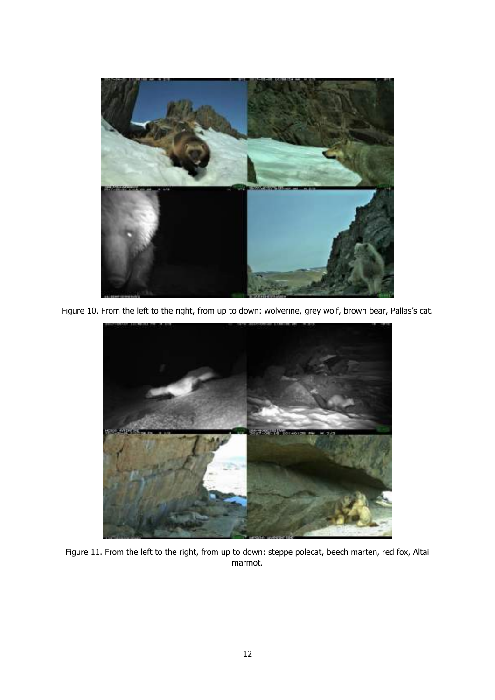

Figure 10. From the left to the right, from up to down: wolverine, grey wolf, brown bear, Pallas's cat.



Figure 11. From the left to the right, from up to down: steppe polecat, beech marten, red fox, Altai marmot.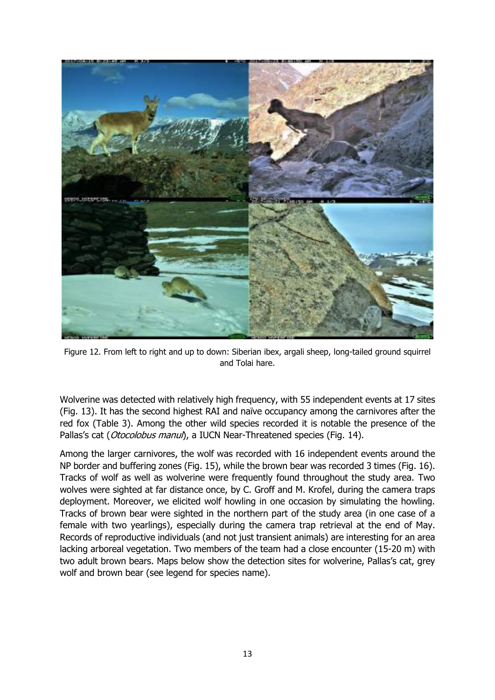

Figure 12. From left to right and up to down: Siberian ibex, argali sheep, long-tailed ground squirrel and Tolai hare.

Wolverine was detected with relatively high frequency, with 55 independent events at 17 sites (Fig. 13). It has the second highest RAI and naïve occupancy among the carnivores after the red fox (Table 3). Among the other wild species recorded it is notable the presence of the Pallas's cat (Otocolobus manul), a IUCN Near-Threatened species (Fig. 14).

Among the larger carnivores, the wolf was recorded with 16 independent events around the NP border and buffering zones (Fig. 15), while the brown bear was recorded 3 times (Fig. 16). Tracks of wolf as well as wolverine were frequently found throughout the study area. Two wolves were sighted at far distance once, by C. Groff and M. Krofel, during the camera traps deployment. Moreover, we elicited wolf howling in one occasion by simulating the howling. Tracks of brown bear were sighted in the northern part of the study area (in one case of a female with two yearlings), especially during the camera trap retrieval at the end of May. Records of reproductive individuals (and not just transient animals) are interesting for an area lacking arboreal vegetation. Two members of the team had a close encounter (15-20 m) with two adult brown bears. Maps below show the detection sites for wolverine, Pallas's cat, grey wolf and brown bear (see legend for species name).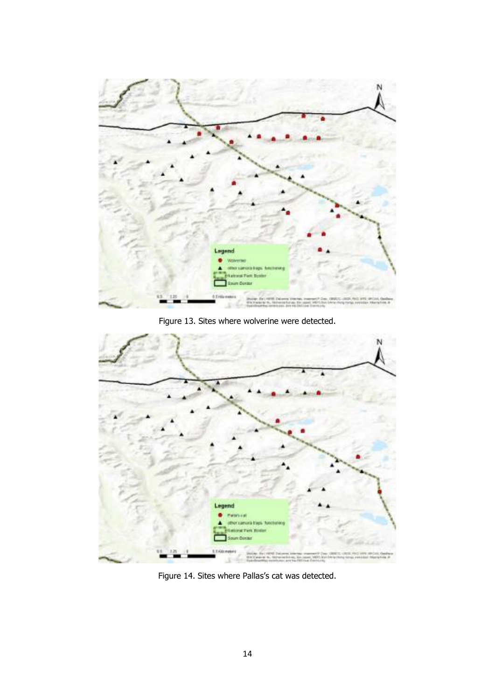

Figure 13. Sites where wolverine were detected.



Figure 14. Sites where Pallas's cat was detected.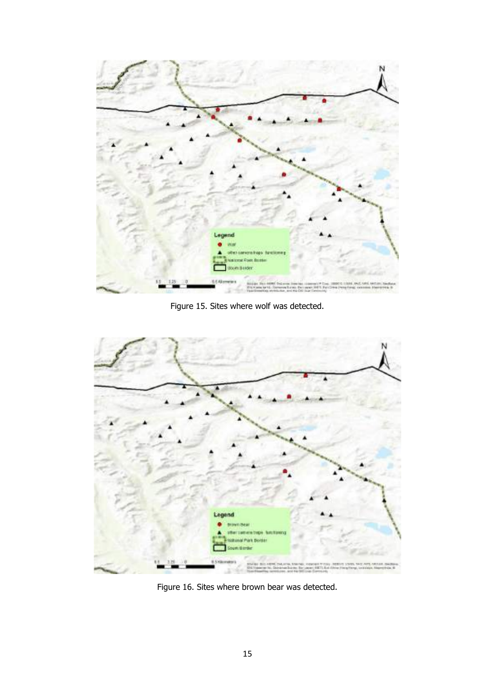

Figure 15. Sites where wolf was detected.



Figure 16. Sites where brown bear was detected.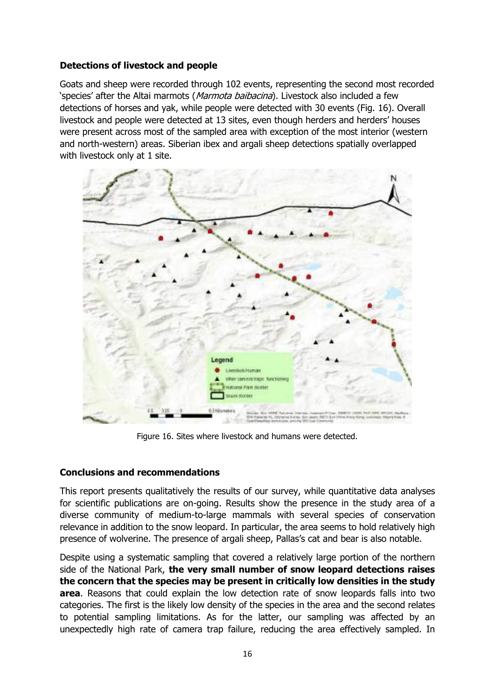# **Detections of livestock and people**

Goats and sheep were recorded through 102 events, representing the second most recorded 'species' after the Altai marmots (Marmota baibacina). Livestock also included a few detections of horses and yak, while people were detected with 30 events (Fig. 16). Overall livestock and people were detected at 13 sites, even though herders and herders' houses were present across most of the sampled area with exception of the most interior (western and north-western) areas. Siberian ibex and argali sheep detections spatially overlapped with livestock only at 1 site.



Figure 16. Sites where livestock and humans were detected.

## **Conclusions and recommendations**

This report presents qualitatively the results of our survey, while quantitative data analyses for scientific publications are on-going. Results show the presence in the study area of a diverse community of medium-to-large mammals with several species of conservation relevance in addition to the snow leopard. In particular, the area seems to hold relatively high presence of wolverine. The presence of argali sheep, Pallas's cat and bear is also notable.

Despite using a systematic sampling that covered a relatively large portion of the northern side of the National Park, **the very small number of snow leopard detections raises the concern that the species may be present in critically low densities in the study area**. Reasons that could explain the low detection rate of snow leopards falls into two categories. The first is the likely low density of the species in the area and the second relates to potential sampling limitations. As for the latter, our sampling was affected by an unexpectedly high rate of camera trap failure, reducing the area effectively sampled. In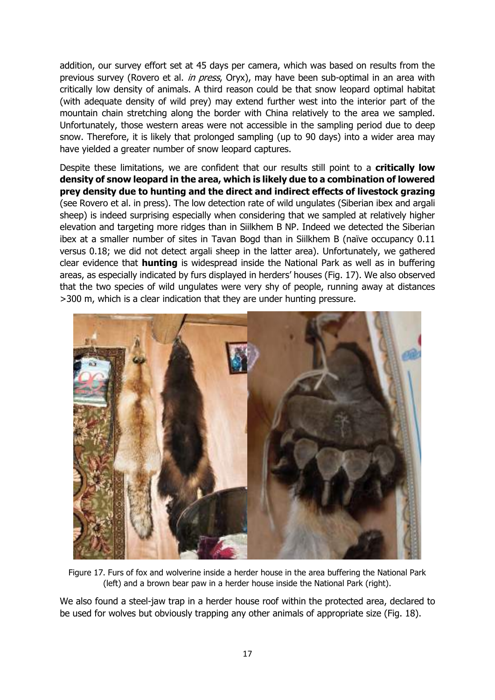addition, our survey effort set at 45 days per camera, which was based on results from the previous survey (Rovero et al. *in press*, Oryx), may have been sub-optimal in an area with critically low density of animals. A third reason could be that snow leopard optimal habitat (with adequate density of wild prey) may extend further west into the interior part of the mountain chain stretching along the border with China relatively to the area we sampled. Unfortunately, those western areas were not accessible in the sampling period due to deep snow. Therefore, it is likely that prolonged sampling (up to 90 days) into a wider area may have yielded a greater number of snow leopard captures.

Despite these limitations, we are confident that our results still point to a **critically low density of snow leopard in the area, which is likely due to a combination of lowered prey density due to hunting and the direct and indirect effects of livestock grazing** (see Rovero et al. in press). The low detection rate of wild ungulates (Siberian ibex and argali sheep) is indeed surprising especially when considering that we sampled at relatively higher elevation and targeting more ridges than in Siilkhem B NP. Indeed we detected the Siberian ibex at a smaller number of sites in Tavan Bogd than in Siilkhem B (naïve occupancy 0.11 versus 0.18; we did not detect argali sheep in the latter area). Unfortunately, we gathered clear evidence that **hunting** is widespread inside the National Park as well as in buffering areas, as especially indicated by furs displayed in herders' houses (Fig. 17). We also observed that the two species of wild ungulates were very shy of people, running away at distances >300 m, which is a clear indication that they are under hunting pressure.



Figure 17. Furs of fox and wolverine inside a herder house in the area buffering the National Park (left) and a brown bear paw in a herder house inside the National Park (right).

We also found a steel-jaw trap in a herder house roof within the protected area, declared to be used for wolves but obviously trapping any other animals of appropriate size (Fig. 18).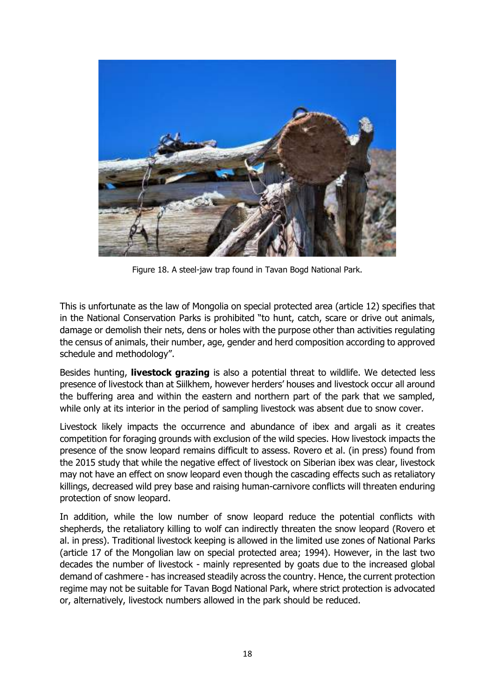

Figure 18. A steel-jaw trap found in Tavan Bogd National Park.

This is unfortunate as the law of Mongolia on special protected area (article 12) specifies that in the National Conservation Parks is prohibited "to hunt, catch, scare or drive out animals, damage or demolish their nets, dens or holes with the purpose other than activities regulating the census of animals, their number, age, gender and herd composition according to approved schedule and methodology".

Besides hunting, **livestock grazing** is also a potential threat to wildlife. We detected less presence of livestock than at Siilkhem, however herders' houses and livestock occur all around the buffering area and within the eastern and northern part of the park that we sampled, while only at its interior in the period of sampling livestock was absent due to snow cover.

Livestock likely impacts the occurrence and abundance of ibex and argali as it creates competition for foraging grounds with exclusion of the wild species. How livestock impacts the presence of the snow leopard remains difficult to assess. Rovero et al. (in press) found from the 2015 study that while the negative effect of livestock on Siberian ibex was clear, livestock may not have an effect on snow leopard even though the cascading effects such as retaliatory killings, decreased wild prey base and raising human-carnivore conflicts will threaten enduring protection of snow leopard.

In addition, while the low number of snow leopard reduce the potential conflicts with shepherds, the retaliatory killing to wolf can indirectly threaten the snow leopard (Rovero et al. in press). Traditional livestock keeping is allowed in the limited use zones of National Parks (article 17 of the Mongolian law on special protected area; 1994). However, in the last two decades the number of livestock - mainly represented by goats due to the increased global demand of cashmere - has increased steadily across the country. Hence, the current protection regime may not be suitable for Tavan Bogd National Park, where strict protection is advocated or, alternatively, livestock numbers allowed in the park should be reduced.